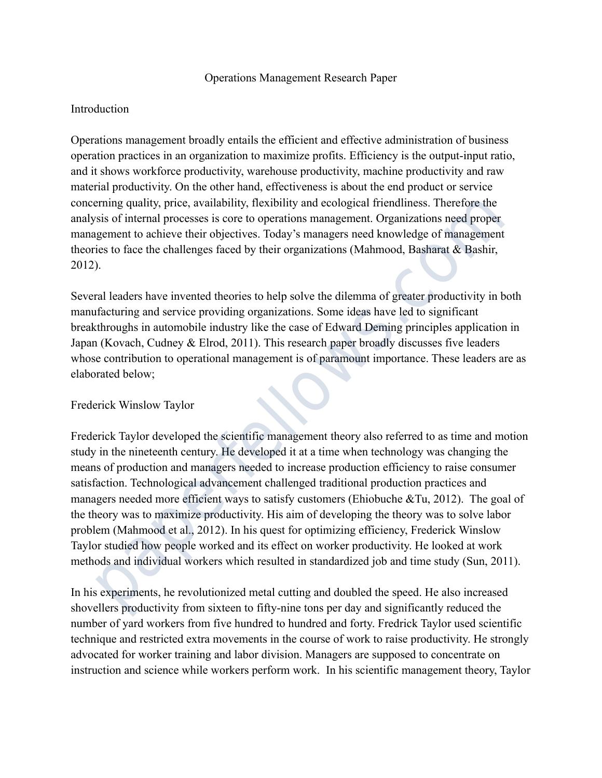## Operations Management Research Paper

### Introduction

Operations management broadly entails the efficient and effective administration of business operation practices in an organization to maximize profits. Efficiency is the output-input ratio, and it shows workforce productivity, warehouse productivity, machine productivity and raw material productivity. On the other hand, effectiveness is about the end product or service concerning quality, price, availability, flexibility and ecological friendliness. Therefore the analysis of internal processes is core to operations management. Organizations need proper management to achieve their objectives. Today's managers need knowledge of management theories to face the challenges faced by their organizations (Mahmood, Basharat & Bashir, 2012).

Several leaders have invented theories to help solve the dilemma of greater productivity in both manufacturing and service providing organizations. Some ideas have led to significant breakthroughs in automobile industry like the case of Edward Deming principles application in Japan (Kovach, Cudney & Elrod, 2011). This research paper broadly discusses five leaders whose contribution to operational management is of paramount importance. These leaders are as elaborated below;

## Frederick Winslow Taylor

Frederick Taylor developed the scientific management theory also referred to as time and motion study in the nineteenth century. He developed it at a time when technology was changing the means of production and managers needed to increase production efficiency to raise consumer satisfaction. Technological advancement challenged traditional production practices and managers needed more efficient ways to satisfy customers (Ehiobuche &Tu, 2012). The goal of the theory was to maximize productivity. His aim of developing the theory was to solve labor problem (Mahmood et al., 2012). In his quest for optimizing efficiency, Frederick Winslow Taylor studied how people worked and its effect on worker productivity. He looked at work methods and individual workers which resulted in standardized job and time study (Sun, 2011). eming quality, price, availability, flexibility and ecological friendliness. Therefore the<br>sis of internal processes is core to operations management. Organizations need proper<br>eigement to achieve their objectives. Today's

In his experiments, he revolutionized metal cutting and doubled the speed. He also increased shovellers productivity from sixteen to fifty-nine tons per day and significantly reduced the number of yard workers from five hundred to hundred and forty. Fredrick Taylor used scientific technique and restricted extra movements in the course of work to raise productivity. He strongly advocated for worker training and labor division. Managers are supposed to concentrate on instruction and science while workers perform work. In his scientific management theory, Taylor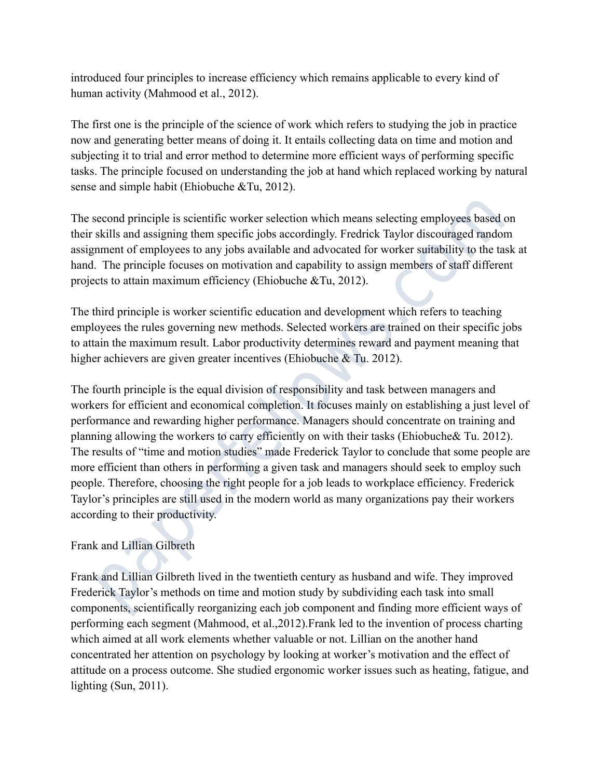introduced four principles to increase efficiency which remains applicable to every kind of human activity (Mahmood et al., 2012).

The first one is the principle of the science of work which refers to studying the job in practice now and generating better means of doing it. It entails collecting data on time and motion and subjecting it to trial and error method to determine more efficient ways of performing specific tasks. The principle focused on understanding the job at hand which replaced working by natural sense and simple habit (Ehiobuche &Tu, 2012).

The second principle is scientific worker selection which means selecting employees based on their skills and assigning them specific jobs accordingly. Fredrick Taylor discouraged random assignment of employees to any jobs available and advocated for worker suitability to the task at hand. The principle focuses on motivation and capability to assign members of staff different projects to attain maximum efficiency (Ehiobuche &Tu, 2012).

The third principle is worker scientific education and development which refers to teaching employees the rules governing new methods. Selected workers are trained on their specific jobs to attain the maximum result. Labor productivity determines reward and payment meaning that higher achievers are given greater incentives (Ehiobuche & Tu. 2012).

The fourth principle is the equal division of responsibility and task between managers and workers for efficient and economical completion. It focuses mainly on establishing a just level of performance and rewarding higher performance. Managers should concentrate on training and planning allowing the workers to carry efficiently on with their tasks (Ehiobuche& Tu. 2012). The results of "time and motion studies" made Frederick Taylor to conclude that some people are more efficient than others in performing a given task and managers should seek to employ such people. Therefore, choosing the right people for a job leads to workplace efficiency. Frederick Taylor's principles are still used in the modern world as many organizations pay their workers according to their productivity. econd principle is scientific worker selection which means selecting employees based oskills and assigning them specific jobs accordingly. Fredrick Taylor discouraged randomment of employees to any jobs available and advoc

# Frank and Lillian Gilbreth

Frank and Lillian Gilbreth lived in the twentieth century as husband and wife. They improved Frederick Taylor's methods on time and motion study by subdividing each task into small components, scientifically reorganizing each job component and finding more efficient ways of performing each segment (Mahmood, et al.,2012).Frank led to the invention of process charting which aimed at all work elements whether valuable or not. Lillian on the another hand concentrated her attention on psychology by looking at worker's motivation and the effect of attitude on a process outcome. She studied ergonomic worker issues such as heating, fatigue, and lighting (Sun, 2011).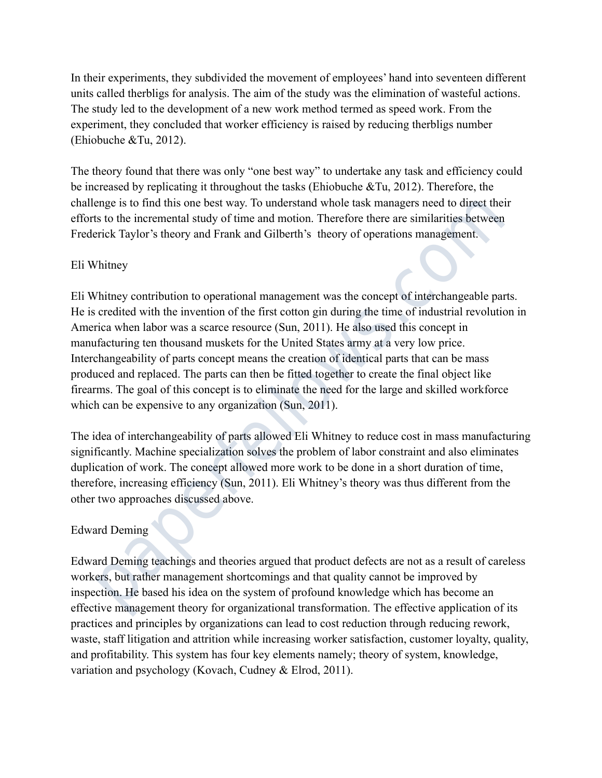In their experiments, they subdivided the movement of employees' hand into seventeen different units called therbligs for analysis. The aim of the study was the elimination of wasteful actions. The study led to the development of a new work method termed as speed work. From the experiment, they concluded that worker efficiency is raised by reducing therbligs number (Ehiobuche &Tu, 2012).

The theory found that there was only "one best way" to undertake any task and efficiency could be increased by replicating it throughout the tasks (Ehiobuche &Tu, 2012). Therefore, the challenge is to find this one best way. To understand whole task managers need to direct their efforts to the incremental study of time and motion. Therefore there are similarities between Frederick Taylor's theory and Frank and Gilberth's theory of operations management.

## Eli Whitney

Eli Whitney contribution to operational management was the concept of interchangeable parts. He is credited with the invention of the first cotton gin during the time of industrial revolution in America when labor was a scarce resource (Sun, 2011). He also used this concept in manufacturing ten thousand muskets for the United States army at a very low price. Interchangeability of parts concept means the creation of identical parts that can be mass produced and replaced. The parts can then be fitted together to create the final object like firearms. The goal of this concept is to eliminate the need for the large and skilled workforce which can be expensive to any organization (Sun, 2011). enge is to find this one best way. To understand whole task managers need to direct their<br>sto the incremental study of time and motion. Therefore there are similarities between<br>rick Taylor's theory and Frank and Gilberth's

The idea of interchangeability of parts allowed Eli Whitney to reduce cost in mass manufacturing significantly. Machine specialization solves the problem of labor constraint and also eliminates duplication of work. The concept allowed more work to be done in a short duration of time, therefore, increasing efficiency (Sun, 2011). Eli Whitney's theory was thus different from the other two approaches discussed above.

# Edward Deming

Edward Deming teachings and theories argued that product defects are not as a result of careless workers, but rather management shortcomings and that quality cannot be improved by inspection. He based his idea on the system of profound knowledge which has become an effective management theory for organizational transformation. The effective application of its practices and principles by organizations can lead to cost reduction through reducing rework, waste, staff litigation and attrition while increasing worker satisfaction, customer loyalty, quality, and profitability. This system has four key elements namely; theory of system, knowledge, variation and psychology (Kovach, Cudney & Elrod, 2011).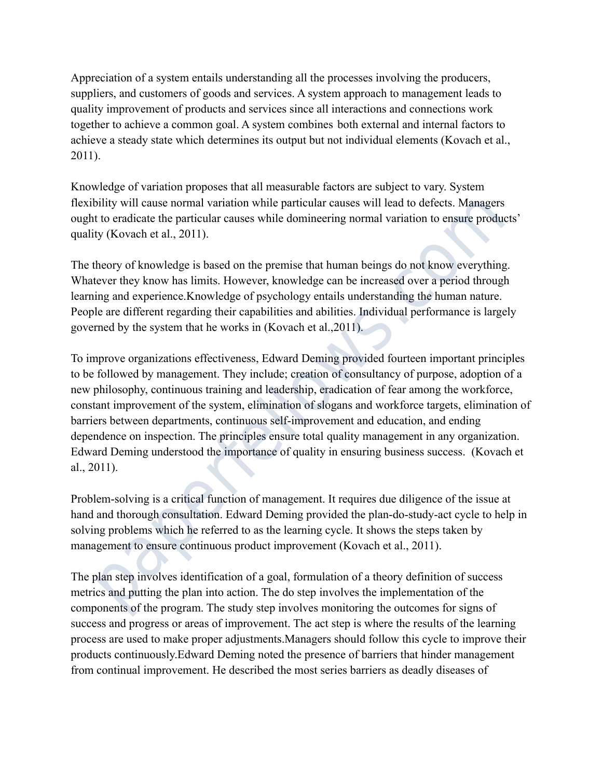Appreciation of a system entails understanding all the processes involving the producers, suppliers, and customers of goods and services. A system approach to management leads to quality improvement of products and services since all interactions and connections work together to achieve a common goal. A system combines both external and internal factors to achieve a steady state which determines its output but not individual elements (Kovach et al., 2011).

Knowledge of variation proposes that all measurable factors are subject to vary. System flexibility will cause normal variation while particular causes will lead to defects. Managers ought to eradicate the particular causes while domineering normal variation to ensure products' quality (Kovach et al., 2011).

The theory of knowledge is based on the premise that human beings do not know everything. Whatever they know has limits. However, knowledge can be increased over a period through learning and experience.Knowledge of psychology entails understanding the human nature. People are different regarding their capabilities and abilities. Individual performance is largely governed by the system that he works in (Kovach et al.,2011).

To improve organizations effectiveness, Edward Deming provided fourteen important principles to be followed by management. They include; creation of consultancy of purpose, adoption of a new philosophy, continuous training and leadership, eradication of fear among the workforce, constant improvement of the system, elimination of slogans and workforce targets, elimination of barriers between departments, continuous self-improvement and education, and ending dependence on inspection. The principles ensure total quality management in any organization. Edward Deming understood the importance of quality in ensuring business success. (Kovach et al., 2011). bility will cause normal variation while particular causes will lead to defects. Managers<br>to eradicate the particular causes while domineering normal variation to ensure producty (Kovach et al., 2011).<br>Hevever they know ha

Problem-solving is a critical function of management. It requires due diligence of the issue at hand and thorough consultation. Edward Deming provided the plan-do-study-act cycle to help in solving problems which he referred to as the learning cycle. It shows the steps taken by management to ensure continuous product improvement (Kovach et al., 2011).

The plan step involves identification of a goal, formulation of a theory definition of success metrics and putting the plan into action. The do step involves the implementation of the components of the program. The study step involves monitoring the outcomes for signs of success and progress or areas of improvement. The act step is where the results of the learning process are used to make proper adjustments.Managers should follow this cycle to improve their products continuously.Edward Deming noted the presence of barriers that hinder management from continual improvement. He described the most series barriers as deadly diseases of